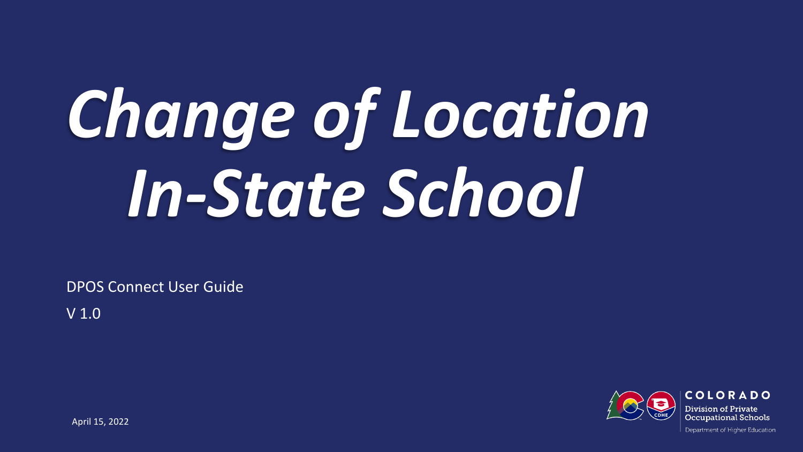# *Change of Location In-State School*

DPOS Connect User Guide

V 1.0

COLORADO Division of Private Occupational Schools

April 15, 2022

Department of Higher Education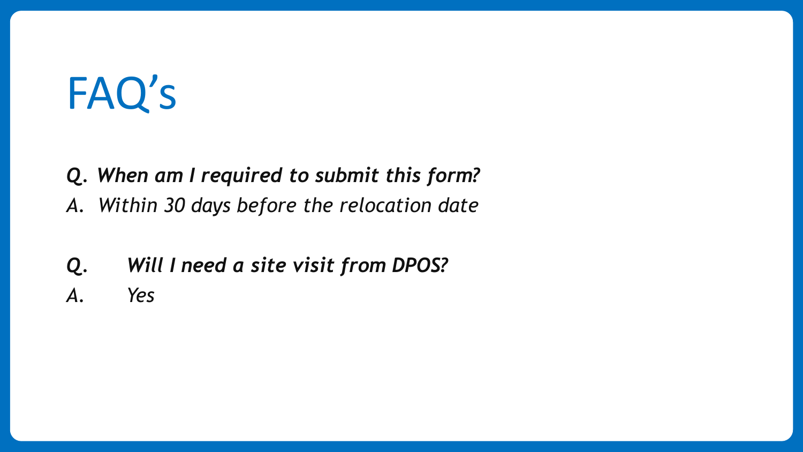# FAQ's

*Q. When am I required to submit this form? A. Within 30 days before the relocation date* 

- *Q. Will I need a site visit from DPOS?*
- *A. Yes*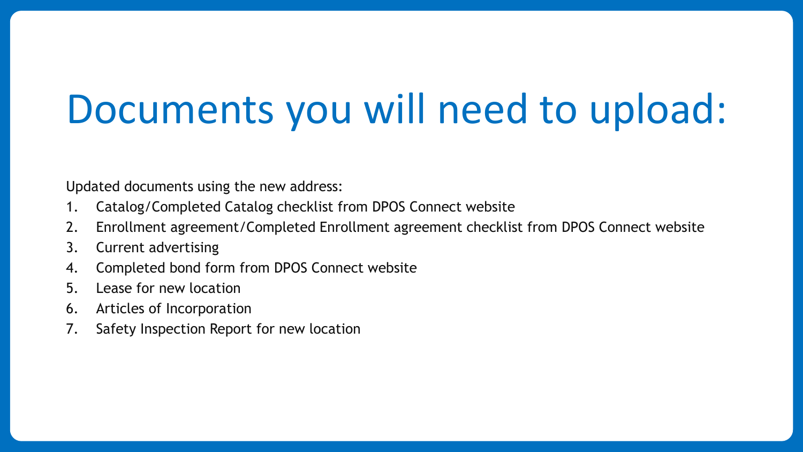# Documents you will need to upload:

Updated documents using the new address:

- 1. Catalog/Completed Catalog checklist from DPOS Connect website
- 2. Enrollment agreement/Completed Enrollment agreement checklist from DPOS Connect website
- 3. Current advertising
- 4. Completed bond form from DPOS Connect website
- 5. Lease for new location
- 6. Articles of Incorporation
- 7. Safety Inspection Report for new location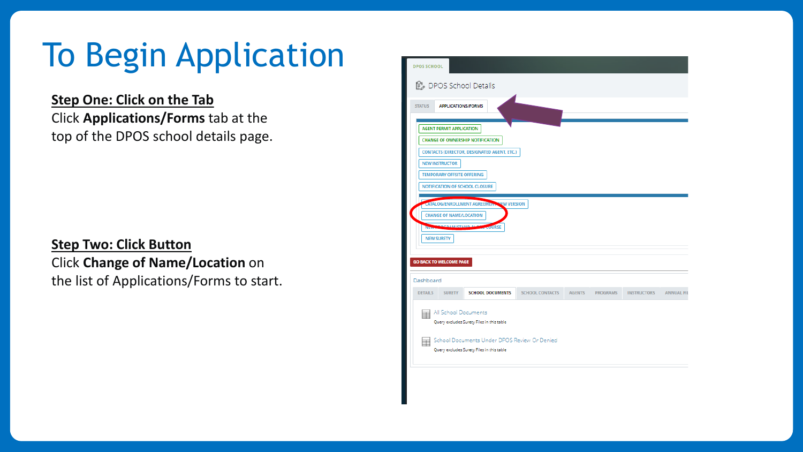# To Begin Application

#### **Step One: Click on the Tab** Click **Applications/Forms** tab at the top of the DPOS school details page.

#### **Step Two: Click Button** Click **Change of Name/Location** on the list of Applications/Forms to start.

| <b>DPOS SCHOOL</b>                                                             |                                                           |                        |               |                 |                    |                   |
|--------------------------------------------------------------------------------|-----------------------------------------------------------|------------------------|---------------|-----------------|--------------------|-------------------|
| <b>L</b> DPOS School Details                                                   |                                                           |                        |               |                 |                    |                   |
| <b>STATUS</b><br><b>APPLICATIONS/FORMS</b>                                     |                                                           |                        |               |                 |                    |                   |
| <b>AGENT PERMIT APPLICATION</b>                                                |                                                           |                        |               |                 |                    |                   |
| <b>CHANGE OF OWNERSHIP NOTIFICATION</b>                                        |                                                           |                        |               |                 |                    |                   |
| CONTACTS (DIRECTOR, DESIGNATED AGENT, ETC.)                                    |                                                           |                        |               |                 |                    |                   |
| <b>NEW INSTRUCTOR</b>                                                          |                                                           |                        |               |                 |                    |                   |
| <b>TEMPORARY OFFSITE OFFERING</b>                                              |                                                           |                        |               |                 |                    |                   |
| <b>NOTIFICATION OF SCHOOL CLOSURE</b>                                          |                                                           |                        |               |                 |                    |                   |
| <b>CHANGE OF NAME/LOCATION</b><br><b>CORAM/STAND ALCA</b><br><b>NEW SURETY</b> | CATALOG/ENROLLMENT AGREEMENT NEW VERSION<br><b>COURSE</b> |                        |               |                 |                    |                   |
| <b>GO BACK TO WELCOME PAGE</b>                                                 |                                                           |                        |               |                 |                    |                   |
| Dashboard                                                                      |                                                           |                        |               |                 |                    |                   |
| <b>DETAILS</b><br><b>SURETY</b>                                                | <b>SCHOOL DOCUMENTS</b>                                   | <b>SCHOOL CONTACTS</b> | <b>AGENTS</b> | <b>PROGRAMS</b> | <b>INSTRUCTORS</b> | <b>ANNUAL FIL</b> |
| All School Documents<br>⊞<br>Query excludes Surety Files in this table         |                                                           |                        |               |                 |                    |                   |
| Query excludes Surety Files in this table                                      | School Documents Under DPOS Review Or Denied              |                        |               |                 |                    |                   |
|                                                                                |                                                           |                        |               |                 |                    |                   |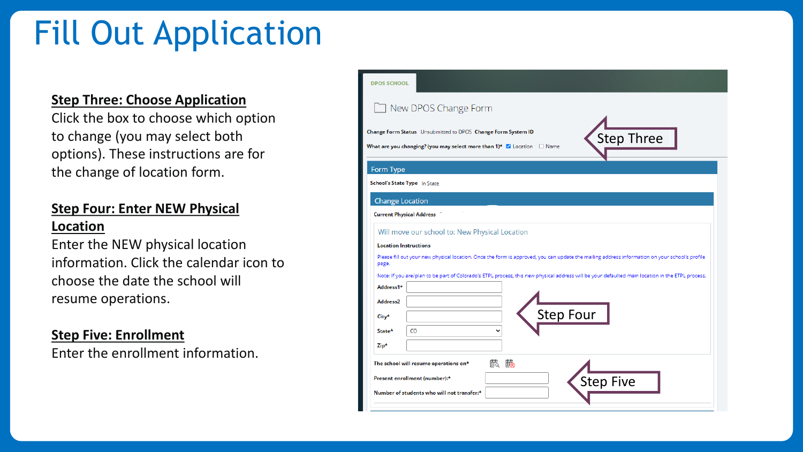# Fill Out Application

#### **Step Three: Choose Application**

Click the box to choose which option to change (you may select both options). These instructions are for the change of location form.

#### **Step Four: Enter NEW Physical Location**

Enter the NEW physical location information. Click the calendar icon to choose the date the school will resume operations.

#### **Step Five: Enrollment**

Enter the enrollment information.

| <b>DPOS SCHOOL</b>           |                                                                                                                                                                       |
|------------------------------|-----------------------------------------------------------------------------------------------------------------------------------------------------------------------|
|                              | New DPOS Change Form                                                                                                                                                  |
|                              | Change Form Status Unsubmitted to DPOS Change Form System ID<br><b>Step Three</b><br>What are you changing? (you may select more than 1)* $\Box$ Location $\Box$ Name |
| Form Type                    |                                                                                                                                                                       |
| School's State Type In State |                                                                                                                                                                       |
| <b>Change Location</b>       |                                                                                                                                                                       |
|                              | <b>Current Physical Address</b>                                                                                                                                       |
|                              | Will move our school to: New Physical Location                                                                                                                        |
| <b>Location Instructions</b> |                                                                                                                                                                       |
| page.                        | Please fill out your new physical location. Once the form is approved, you can update the mailing address information on your school's profile                        |
|                              | Note: If you are/plan to be part of Colorado's ETPL process, this new physical address will be your defaulted main location in the ETPL process.                      |
| Address1*                    |                                                                                                                                                                       |
| Address <sub>2</sub>         |                                                                                                                                                                       |
| City*                        | <b>Step Four</b>                                                                                                                                                      |
| State*                       | CO                                                                                                                                                                    |
| Zip*                         |                                                                                                                                                                       |
|                              | 鼠<br>鼦<br>The school will resume operations on*                                                                                                                       |
|                              | <b>Step Five</b><br>Present enrollment (number):*                                                                                                                     |
|                              | Number of students who will not transfer:*                                                                                                                            |
|                              |                                                                                                                                                                       |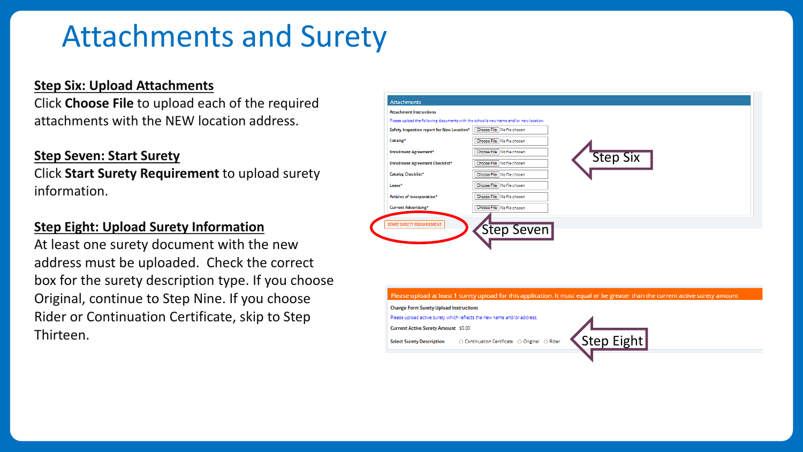### Attachments and Surety

#### **Step Six: Upload Attachments**

Click **Choose File** to upload each of the required attachments with the NEW location address.

#### **Step Seven: Start Surety**

Click **Start Surety Requirement** to upload surety information.

#### **Step Eight: Upload Surety Information**

At least one surety document with the new address must be uploaded. Check the correct box for the surety description type. If you choose Original, continue to Step Nine. If you choose Rider or Continuation Certificate, skip to Step Thirteen.

| Safety Inspection report for New Location* | Choose File No file chosen   |          |  |
|--------------------------------------------|------------------------------|----------|--|
| Catalog*                                   | Choose File No file chosen   |          |  |
| <b>Enrollment Agreement*</b>               | Choose File No file chosen   | Step Six |  |
| <b>Enrollment Agreement Checklist*</b>     | Choose File No file chosen   |          |  |
| Catalog Checklist*                         | Choose File No file chosen   |          |  |
| Lease*                                     | Choose File No file chosen   |          |  |
| Articles of Incorporation*                 | Choose File No file chosen   |          |  |
| <b>Current Advertising*</b>                | Choose File   No file chosen |          |  |
| START SURETY REQUIREMENT                   | Step Seven                   |          |  |

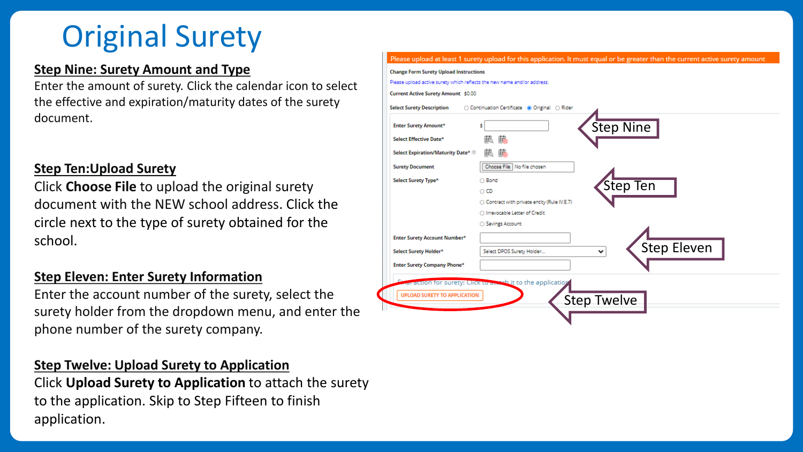# Original Surety

#### **Step Nine: Surety Amount and Type**

Enter the amount of surety. Click the calendar icon to select the effective and expiration/maturity dates of the surety document.

#### **Step Ten:Upload Surety**

Click **Choose File** to upload the original surety document with the NEW school address. Click the circle next to the type of surety obtained for the school.

#### **Step Eleven: Enter Surety Information**

Enter the account number of the surety, select the surety holder from the dropdown menu, and enter the phone number of the surety company.

#### **Step Twelve: Upload Surety to Application**

Click **Upload Surety to Application** to attach the surety to the application. Skip to Step Fifteen to finish application.

| <b>Enter Surety Amount*</b>         |                                              |                    |
|-------------------------------------|----------------------------------------------|--------------------|
| Select Effective Date*              | <b>Step Nine</b>                             |                    |
| Select Expiration/Maturity Date*    |                                              |                    |
|                                     |                                              |                    |
| <b>Surety Document</b>              | Choose File No file chosen                   |                    |
| Select Surety Type*                 | ○ Bond                                       |                    |
|                                     | Step Ten<br>$\circ$ CD                       |                    |
|                                     | ○ Contract with private entity (Rule IV.E.7) |                    |
|                                     | O Irrevocable Letter of Credit               |                    |
|                                     | ○ Savings Account                            |                    |
| <b>Enter Surety Account Number*</b> |                                              |                    |
| Select Surety Holder*               | Select DPOS Surety Holder<br>v               | <b>Step Eleven</b> |
|                                     |                                              |                    |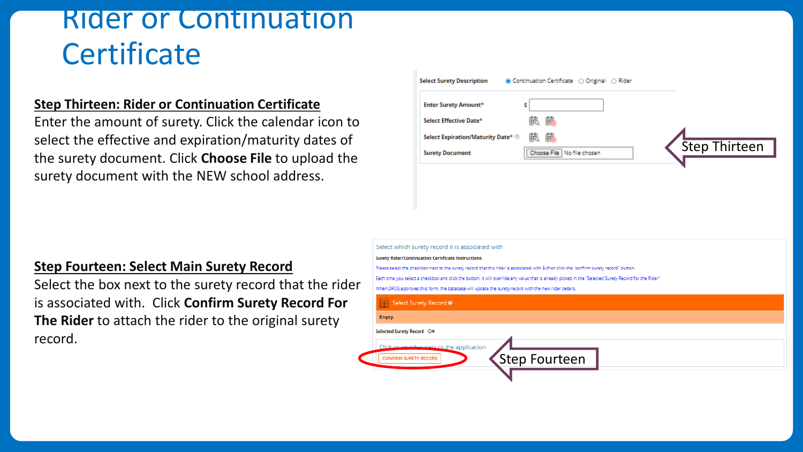### Rider or Continuation **Certificate**

#### **Step Thirteen: Rider or Continuation Certificate**

Enter the amount of surety. Click the calendar icon to select the effective and expiration/maturity dates of the surety document. Click **Choose File** to upload the surety document with the NEW school address.

| <b>Select Surety Description</b> | $\circledR$ Continuation Certificate $\circlearrowright$ Original $\circlearrowright$ Rider |                      |
|----------------------------------|---------------------------------------------------------------------------------------------|----------------------|
| <b>Enter Surety Amount*</b>      |                                                                                             |                      |
| Select Effective Date*           | 職<br>邯                                                                                      |                      |
| Select Expiration/Maturity Date* | 瞕                                                                                           |                      |
| <b>Surety Document</b>           | Choose File   No file chosen                                                                | <b>Step Thirteen</b> |
|                                  |                                                                                             |                      |

#### **Step Fourteen: Select Main Surety Record**

Select the box next to the surety record that the rider is associated with. Click **Confirm Surety Record For The Rider** to attach the rider to the original surety record.

| Select which surety record it is associated with                                                                                                      |  |  |
|-------------------------------------------------------------------------------------------------------------------------------------------------------|--|--|
| <b>Surety Rider/Continuation Certificate Instructions</b>                                                                                             |  |  |
| Please select the checkbox next to the surety record that the rider is associated with & then click the "confirm surety record" button.               |  |  |
| Each time you select a checkbox and click the button, it will override any value that is already picked in the "Selected Surety Record for the Rider" |  |  |
| When DPOS approves this form, the database will update the surety record with the new rider details.                                                  |  |  |
| Select Surety Record .                                                                                                                                |  |  |
| Empty.                                                                                                                                                |  |  |
| Selected Surety Record ID#                                                                                                                            |  |  |
| Click to attach surety to the application                                                                                                             |  |  |
| Step Fourteen<br><b>CONFIRM SURETY RECORD</b>                                                                                                         |  |  |
|                                                                                                                                                       |  |  |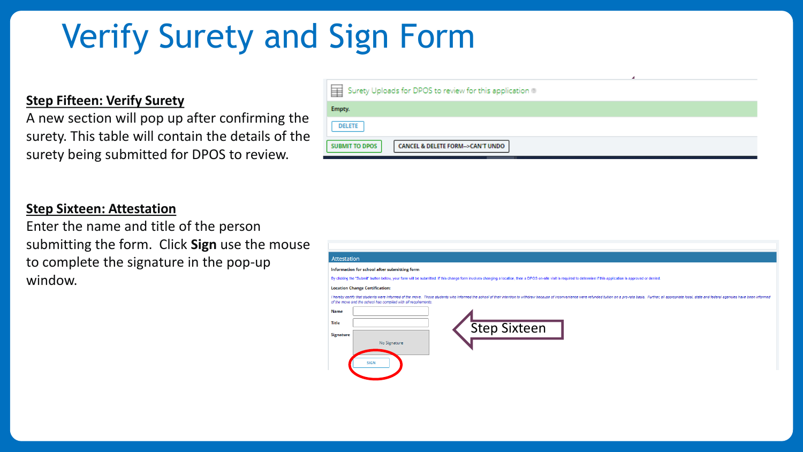# Verify Surety and Sign Form

#### **Step Fifteen: Verify Surety**

A new section will pop up after confirming the surety. This table will contain the details of the surety being submitted for DPOS to review.

| Surety Uploads for DPOS to review for this application                   |
|--------------------------------------------------------------------------|
| Empty.                                                                   |
| <b>DELETE</b>                                                            |
| <b>SUBMIT TO DPOS</b><br><b>CANCEL &amp; DELETE FORM--&gt;CAN'T UNDO</b> |

#### **Step Sixteen: Attestation**

Enter the name and title of the person submitting the form. Click **Sign** use the mouse to complete the signature in the pop-up window.

#### **Attestation**

#### Information for school after submitting form

By clicking the "Submit" button below, your form will be submitted. If this change form involves changing a location, then a DPOS on-site visit is required to determine if this application is approved or denied

#### **Location Change Certification**

I hereby certify that students were informed of the move. Those students who informed the school of their intention to withdraw because of inconvenience were refunded tuition on a pr of the move and the school has complied with all requirements